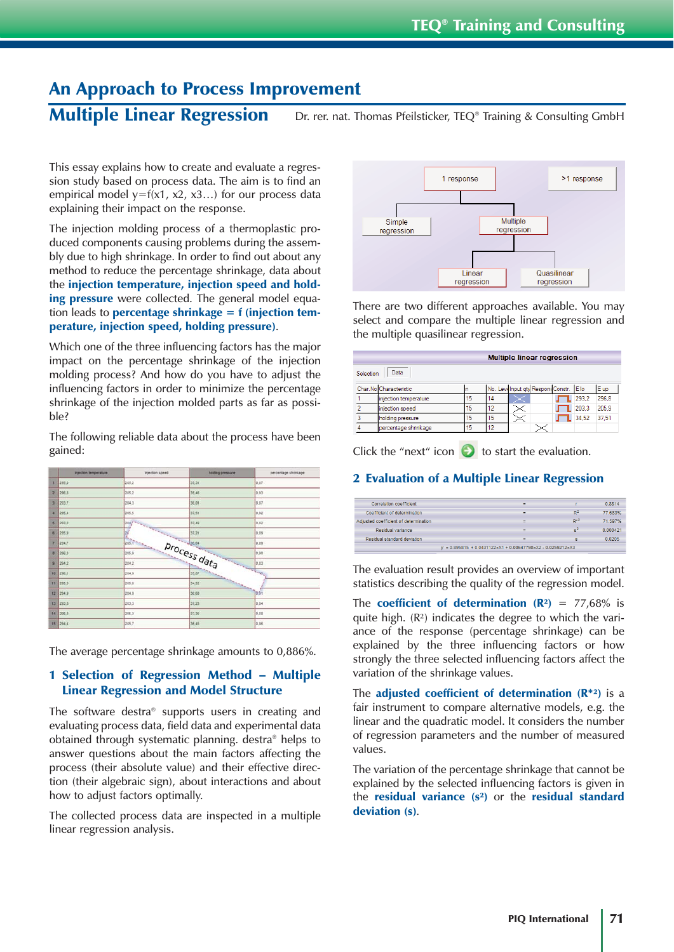# An Approach to Process Improvement

Multiple Linear Regression Dr. rer. nat. Thomas Pfeilsticker, TEQ® Training & Consulting GmbH

This essay explains how to create and evaluate a regression study based on process data. The aim is to find an empirical model  $y=f(x1, x2, x3...)$  for our process data explaining their impact on the response.

The injection molding process of a thermoplastic produced components causing problems during the assembly due to high shrinkage. In order to find out about any method to reduce the percentage shrinkage, data about the injection temperature, injection speed and holding pressure were collected. The general model equation leads to **percentage shrinkage = f** (injection temperature, injection speed, holding pressure).

Which one of the three influencing factors has the major impact on the percentage shrinkage of the injection molding process? And how do you have to adjust the influencing factors in order to minimize the percentage shrinkage of the injection molded parts as far as possible?

The following reliable data about the process have been gained:

| injection temperature. | injection speed. | hotting pressure | percentage shrmuage             |
|------------------------|------------------|------------------|---------------------------------|
| 295,0                  | 205.2            | 37,31            | 0.07                            |
| 296.8                  | 205.2            | 35.46            | 0.93                            |
| 293.7                  | 204.3            | 36.01            | 0.87                            |
| 295.4                  | 205.5            | 37.51            | 0.92                            |
| 293.2                  |                  |                  |                                 |
| 295.9                  |                  |                  |                                 |
| 294,7                  |                  |                  |                                 |
| 296.3                  |                  |                  |                                 |
| 294.2                  |                  |                  |                                 |
| 10 296.1               |                  |                  |                                 |
| 295.0                  | 205.8            | 34.52            |                                 |
| $12 - 294.9$           | 204.9            | 36.68            | 10.51                           |
| 13 293.5               | 203.3            | 37,23            | 0.54                            |
| 295.3                  | 205.3            | 37.36            | 0.88                            |
| t5 294.4               | 205,7            | 36,45            | 0.86                            |
|                        |                  |                  | <b>COLLA</b><br><b>SARATAGE</b> |

The average percentage shrinkage amounts to 0,886%.

# 1 Selection of Regression Method – Multiple Linear Regression and Model Structure

The software destra® supports users in creating and evaluating process data, field data and experimental data obtained through systematic planning. destra® helps to answer questions about the main factors affecting the process (their absolute value) and their effective direction (their algebraic sign), about interactions and about how to adjust factors optimally.

The collected process data are inspected in a multiple linear regression analysis.



There are two different approaches available. You may select and compare the multiple linear regression and the multiple quasilinear regression.

|           |                        |    |    | <b>Multiple linear regression</b>      |  |       |       |
|-----------|------------------------|----|----|----------------------------------------|--|-------|-------|
| Selection | Data                   |    |    |                                        |  |       |       |
|           | Char.No Characteristic |    |    | No. Levi Input qty Respons Constr. Elo |  |       | E up  |
|           | injection temperature  | 15 | 14 |                                        |  | 293.2 | 296,8 |
|           | injection speed        | 15 | 12 |                                        |  | 203.3 | 205.9 |
| 3         | holding pressure       | 15 | 15 |                                        |  | 34.52 | 37.51 |
|           | percentage shrinkage   | 15 | 12 |                                        |  |       |       |

Click the "next" icon  $\bullet$  to start the evaluation.

# 2 Evaluation of a Multiple Linear Regression

| Correlation coefficient                                                           | ÷ |                | 0.8814   |  |
|-----------------------------------------------------------------------------------|---|----------------|----------|--|
| Coefficient of determination                                                      | ۰ | D <sup>2</sup> | 77 683%  |  |
| Adjusted coefficient of determination                                             |   | $p*2$          | 71 597%  |  |
| Residual variance                                                                 | н | $\mathbf{e}^2$ | 0 000421 |  |
| Residual standard deviation                                                       | ۰ |                | 0.0205   |  |
| $v = 0.895815 + 0.0431122 \times X1 + 0.00647798 \times X2 - 0.0259212 \times X3$ |   |                |          |  |

The evaluation result provides an overview of important statistics describing the quality of the regression model.

The **coefficient of determination**  $(\mathbb{R}^2) = 77,68\%$  is quite high.  $(R<sup>2</sup>)$  indicates the degree to which the variance of the response (percentage shrinkage) can be explained by the three influencing factors or how strongly the three selected influencing factors affect the variation of the shrinkage values.

The adjusted coefficient of determination  $(R^{*2})$  is a fair instrument to compare alternative models, e.g. the linear and the quadratic model. It considers the number of regression parameters and the number of measured values.

The variation of the percentage shrinkage that cannot be explained by the selected influencing factors is given in the residual variance  $(s^2)$  or the residual standard deviation (s).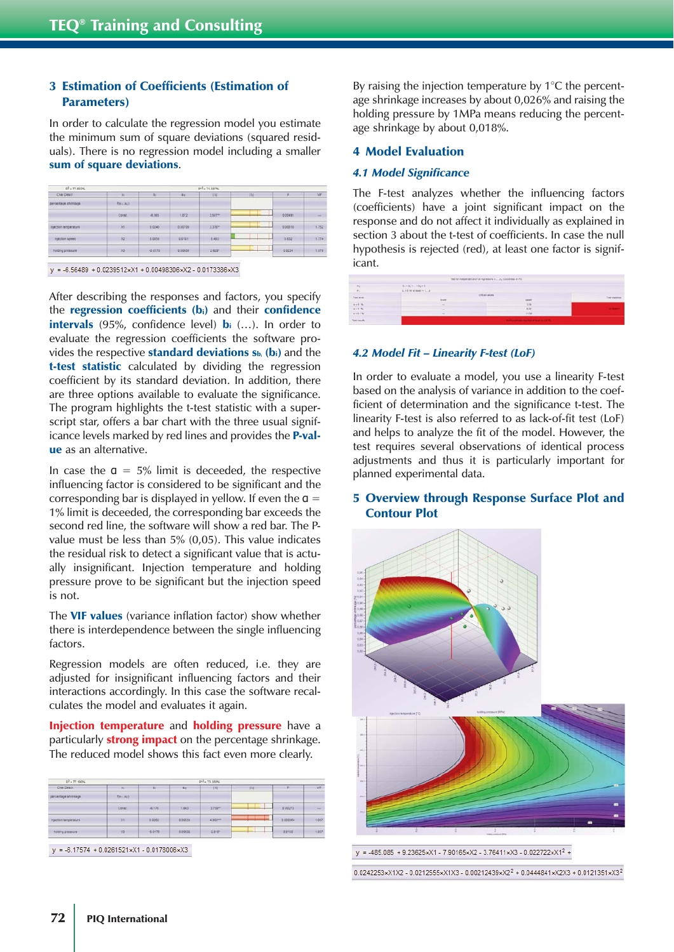# 3 Estimation of Coefficients (Estimation of Parameters)

In order to calculate the regression model you estimate the minimum sum of square deviations (squared residuals). There is no regression model including a smaller sum of square deviations.

| R- # 11.553%         |          |              |                | M. - > 11.597%      |      |         |               |
|----------------------|----------|--------------|----------------|---------------------|------|---------|---------------|
| Char Descr           | Xr.      | $^{12}$      | 3 <sub>0</sub> | 14                  | ité. | ×       | VF            |
| bercentage shrinkage | formed.  |              |                |                     |      |         |               |
|                      | Const.   | $-4,565$     | 1.872          | 3,507%              |      | 0.00491 | <b>Sellen</b> |
| inection tenperature | 331      | <b>B0240</b> | 0.00709        | 2.370 <sup>th</sup> |      | 0.00618 | 1,752         |
| injection appeal     | x2       | 0.0050       | 0.0101         | 0.433               |      | 0.632   | 1.774         |
| holding pressure     | $\infty$ | $-0.0173$    | 0.00059        | 2.629"              |      | 0.0234  | 1.072         |

After describing the responses and factors, you specify the regression coefficients (bi) and their confidence intervals (95%, confidence level)  $\mathbf{b}$ i (...). In order to evaluate the regression coefficients the software provides the respective **standard deviations**  $s_{b_i}$  **(bi)** and the t-test statistic calculated by dividing the regression coefficient by its standard deviation. In addition, there are three options available to evaluate the significance. The program highlights the t-test statistic with a superscript star, offers a bar chart with the three usual significance levels marked by red lines and provides the **P-val**ue as an alternative.

In case the  $a = 5\%$  limit is deceeded, the respective influencing factor is considered to be significant and the corresponding bar is displayed in yellow. If even the  $a =$ 1% limit is deceeded, the corresponding bar exceeds the second red line, the software will show a red bar. The Pvalue must be less than 5% (0,05). This value indicates the residual risk to detect a significant value that is actually insignificant. Injection temperature and holding pressure prove to be significant but the injection speed is not.

The VIF values (variance inflation factor) show whether there is interdependence between the single influencing factors.

Regression models are often reduced, i.e. they are adjusted for insignificant influencing factors and their interactions accordingly. In this case the software recalculates the model and evaluates it again.

Injection temperature and holding pressure have a particularly **strong impact** on the percentage shrinkage. The reduced model shows this fact even more clearly.

| AT = 77.190%          |                  |                 |            | R <sup>43</sup> = 73.388% |           |          |       |
|-----------------------|------------------|-----------------|------------|---------------------------|-----------|----------|-------|
| Char Descri           | <b>Sec.</b>      | Britain College | <b>Bar</b> | 134                       | <b>TG</b> | 1/10     | VF    |
| percentage shrinage:  | <b>Riescappi</b> |                 |            |                           |           |          |       |
|                       | Const            | $-4.176$        | 1.043      | 3.752%                    |           | 0.00273  | -     |
| injection temperature | $-381$           | 0.0262          | 000533     | <b>4903HH</b>             |           | 0.000364 | 1.057 |
| holding pressure      | $\infty$         | $-0.0178$       | 0.00632    | 2.010                     | -         | 0.0155   | 1.057 |

 $y = -6.17574 + 0.0261521 \times X1 - 0.0178006 \times X3$ 

By raising the injection temperature by 1°C the percentage shrinkage increases by about 0,026% and raising the holding pressure by 1MPa means reducing the percentage shrinkage by about 0,018%.

### 4 Model Evaluation

#### *4.1 Model Significance*

The F-test analyzes whether the influencing factors (coefficients) have a joint significant impact on the response and do not affect it individually as explained in section 3 about the t-test of coefficients. In case the null hypothesis is rejected (red), at least one factor is significant.

| $\alpha_1$    | $81 - 31 - 44 + 8$        | is the figure of the advance of the advance of the contract of the contract is an inter- |               |
|---------------|---------------------------|------------------------------------------------------------------------------------------|---------------|
| $\alpha$      | S.A.I.Nr gl mast 14.7.  d |                                                                                          |               |
| <b>herman</b> | <b>Brand</b>              | <b>STREAM CALLAS</b><br>week                                                             | Tool statemen |
| $0 + 1 - 4$   | --                        | 119                                                                                      |               |
| 111%          | -                         | 8.27                                                                                     |               |
| 11114         |                           | 1138                                                                                     |               |
| Test rends    |                           | <b>But her allows may but a hour in a little.</b>                                        |               |

#### *4.2 Model Fit – Linearity F-test (LoF)*

In order to evaluate a model, you use a linearity F-test based on the analysis of variance in addition to the coefficient of determination and the significance t-test. The linearity F-test is also referred to as lack-of-fit test (LoF) and helps to analyze the fit of the model. However, the test requires several observations of identical process adjustments and thus it is particularly important for planned experimental data.

# 5 Overview through Response Surface Plot and Contour Plot



y = -485.085 + 9.23625xX1 - 7.90165xX2 - 3.76411xX3 - 0.022722xX1<sup>2</sup> +

 $0.0242253 \times X1 X2 - 0.0212555 \times X1 X3 - 0.00212439 \times X2^2 + 0.0444841 \times X2 X3 + 0.0121351 \times X3^2$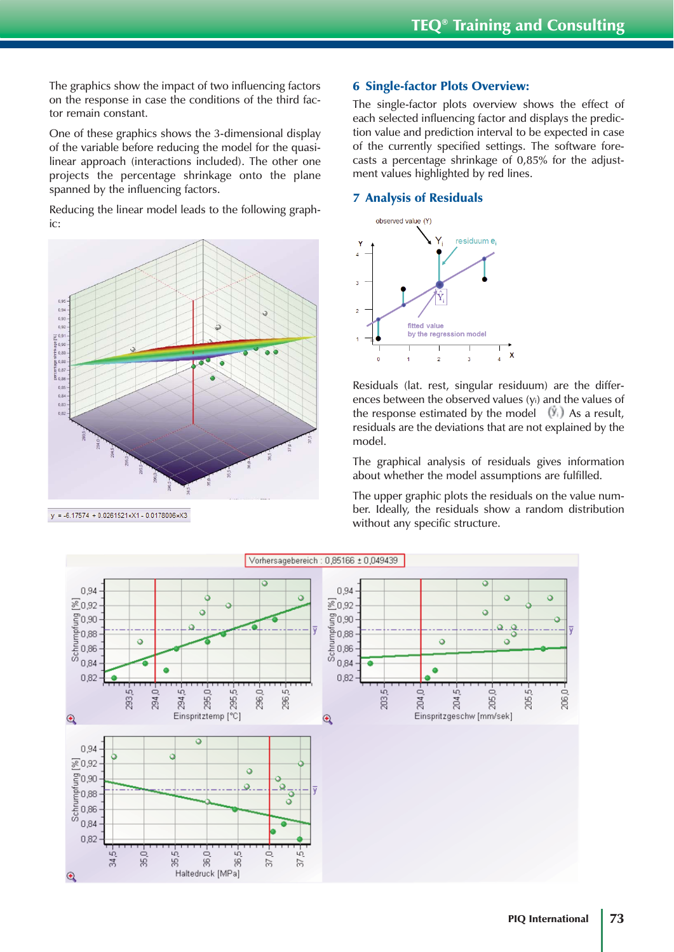The graphics show the impact of two influencing factors on the response in case the conditions of the third factor remain constant.

One of these graphics shows the 3-dimensional display of the variable before reducing the model for the quasilinear approach (interactions included). The other one projects the percentage shrinkage onto the plane spanned by the influencing factors.

Reducing the linear model leads to the following graphic:



 $y = -6.17574 + 0.0261521 \times X1 - 0.0178006 \times X3$ 

# 6 Single-factor Plots Overview:

The single-factor plots overview shows the effect of each selected influencing factor and displays the prediction value and prediction interval to be expected in case of the currently specified settings. The software forecasts a percentage shrinkage of 0,85% for the adjustment values highlighted by red lines.

# 7 Analysis of Residuals



Residuals (lat. rest, singular residuum) are the differences between the observed values (yi) and the values of the response estimated by the model  $(x_i)$ . As a result, residuals are the deviations that are not explained by the model.

The graphical analysis of residuals gives information about whether the model assumptions are fulfilled.

The upper graphic plots the residuals on the value number. Ideally, the residuals show a random distribution without any specific structure.